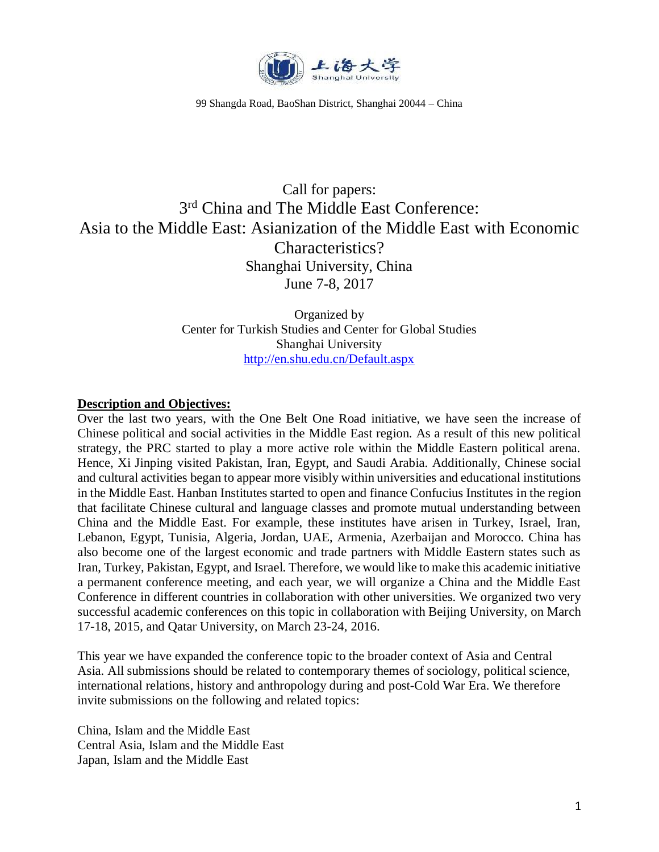

99 Shangda Road, BaoShan District, Shanghai 20044 – China

# Call for papers: 3<sup>rd</sup> China and The Middle East Conference: Asia to the Middle East: Asianization of the Middle East with Economic Characteristics? Shanghai University, China June 7-8, 2017

Organized by Center for Turkish Studies and Center for Global Studies Shanghai University <http://en.shu.edu.cn/Default.aspx>

#### **Description and Objectives:**

Over the last two years, with the One Belt One Road initiative, we have seen the increase of Chinese political and social activities in the Middle East region. As a result of this new political strategy, the PRC started to play a more active role within the Middle Eastern political arena. Hence, Xi Jinping visited Pakistan, Iran, Egypt, and Saudi Arabia. Additionally, Chinese social and cultural activities began to appear more visibly within universities and educational institutions in the Middle East. Hanban Institutes started to open and finance Confucius Institutes in the region that facilitate Chinese cultural and language classes and promote mutual understanding between China and the Middle East. For example, these institutes have arisen in Turkey, Israel, Iran, Lebanon, Egypt, Tunisia, Algeria, Jordan, UAE, Armenia, Azerbaijan and Morocco. China has also become one of the largest economic and trade partners with Middle Eastern states such as Iran, Turkey, Pakistan, Egypt, and Israel. Therefore, we would like to make this academic initiative a permanent conference meeting, and each year, we will organize a China and the Middle East Conference in different countries in collaboration with other universities. We organized two very successful academic conferences on this topic in collaboration with Beijing University, on March 17-18, 2015, and Qatar University, on March 23-24, 2016.

This year we have expanded the conference topic to the broader context of Asia and Central Asia. All submissions should be related to contemporary themes of sociology, political science, international relations, history and anthropology during and post-Cold War Era. We therefore invite submissions on the following and related topics:

China, Islam and the Middle East Central Asia, Islam and the Middle East Japan, Islam and the Middle East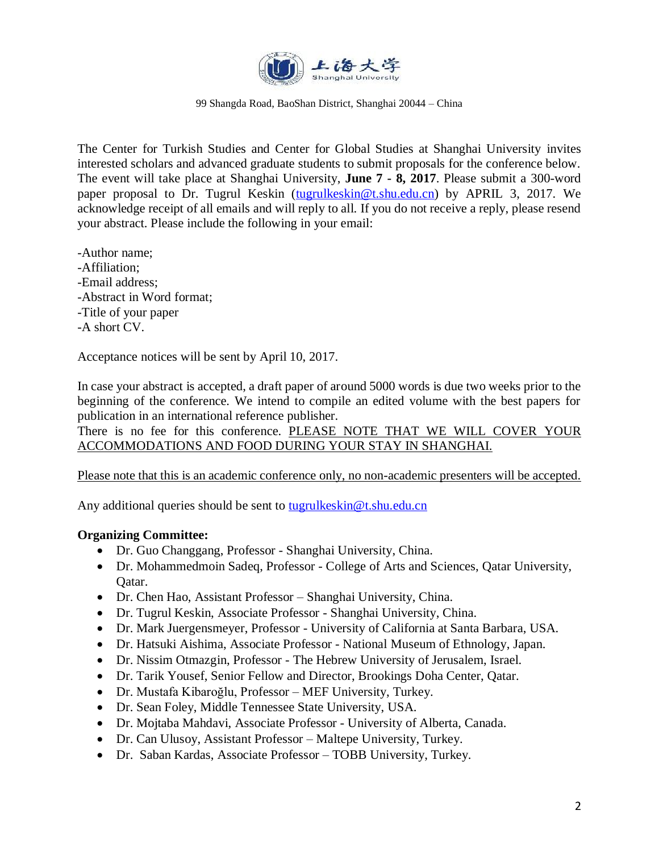

99 Shangda Road, BaoShan District, Shanghai 20044 – China

The Center for Turkish Studies and Center for Global Studies at Shanghai University invites interested scholars and advanced graduate students to submit proposals for the conference below. The event will take place at Shanghai University, **June 7 - 8, 2017**. Please submit a 300-word paper proposal to Dr. Tugrul Keskin [\(tugrulkeskin@t.shu.edu.cn\)](mailto:tugrulkeskin@t.shu.edu.cn) by APRIL 3, 2017. We acknowledge receipt of all emails and will reply to all. If you do not receive a reply, please resend your abstract. Please include the following in your email:

-Author name; -Affiliation; -Email address; -Abstract in Word format; -Title of your paper -A short CV.

Acceptance notices will be sent by April 10, 2017.

In case your abstract is accepted, a draft paper of around 5000 words is due two weeks prior to the beginning of the conference. We intend to compile an edited volume with the best papers for publication in an international reference publisher.

There is no fee for this conference. PLEASE NOTE THAT WE WILL COVER YOUR ACCOMMODATIONS AND FOOD DURING YOUR STAY IN SHANGHAI.

### Please note that this is an academic conference only, no non-academic presenters will be accepted.

Any additional queries should be sent to [tugrulkeskin@t.shu.edu.cn](mailto:tugrulkeskin@t.shu.edu.cn)

### **Organizing Committee:**

- Dr. Guo Changgang, Professor Shanghai University, China.
- Dr. Mohammedmoin Sadeq, Professor College of Arts and Sciences, Qatar University, Qatar.
- Dr. Chen Hao, Assistant Professor Shanghai University, China.
- Dr. Tugrul Keskin, Associate Professor Shanghai University, China.
- Dr. Mark Juergensmeyer, Professor University of California at Santa Barbara, USA.
- Dr. Hatsuki Aishima, Associate Professor National Museum of Ethnology, Japan.
- Dr. Nissim Otmazgin, Professor The Hebrew University of Jerusalem, Israel.
- Dr. Tarik Yousef, Senior Fellow and Director, Brookings Doha Center, Qatar.
- Dr. Mustafa Kibaroğlu, Professor MEF University, Turkey.
- Dr. Sean Foley, Middle Tennessee State University, USA.
- Dr. Mojtaba Mahdavi, Associate Professor University of Alberta, Canada.
- Dr. Can Ulusoy, Assistant Professor Maltepe University, Turkey.
- Dr. Saban Kardas, Associate Professor TOBB University, Turkey.